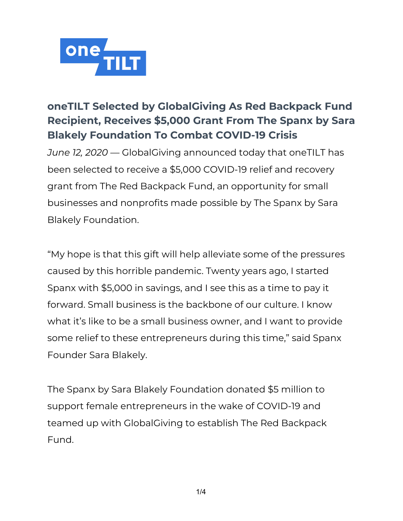

# **oneTILT Selected by GlobalGiving As Red Backpack Fund Recipient, Receives \$5,000 Grant From The Spanx by Sara Blakely Foundation To Combat COVID-19 Crisis**

*June 12, 2020* — GlobalGiving announced today that oneTILT has been selected to receive a \$5,000 COVID-19 relief and recovery grant from The Red Backpack Fund, an opportunity for small businesses and nonprofits made possible by The Spanx by Sara Blakely Foundation.

"My hope is that this gift will help alleviate some of the pressures caused by this horrible pandemic. Twenty years ago, I started Spanx with \$5,000 in savings, and I see this as a time to pay it forward. Small business is the backbone of our culture. I know what it's like to be a small business owner, and I want to provide some relief to these entrepreneurs during this time," said Spanx Founder Sara Blakely.

The Spanx by Sara Blakely Foundation donated \$5 million to support female entrepreneurs in the wake of COVID-19 and teamed up with GlobalGiving to establish The Red Backpack Fund.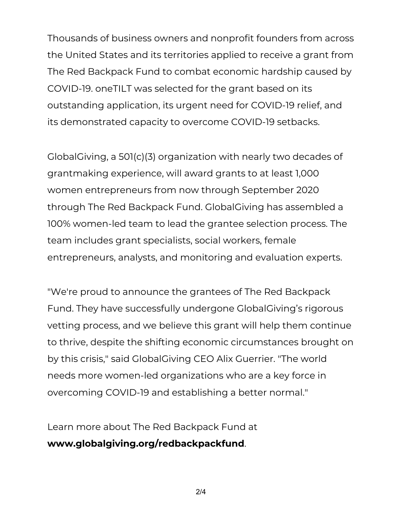Thousands of business owners and nonprofit founders from across the United States and its territories applied to receive a grant from The Red Backpack Fund to combat economic hardship caused by COVID-19. oneTILT was selected for the grant based on its outstanding application, its urgent need for COVID-19 relief, and its demonstrated capacity to overcome COVID-19 setbacks.

GlobalGiving, a 501(c)(3) organization with nearly two decades of grantmaking experience, will award grants to at least 1,000 women entrepreneurs from now through September 2020 through The Red Backpack Fund. GlobalGiving has assembled a 100% women-led team to lead the grantee selection process. The team includes grant specialists, social workers, female entrepreneurs, analysts, and monitoring and evaluation experts.

"We're proud to announce the grantees of The Red Backpack Fund. They have successfully undergone GlobalGiving's rigorous vetting process, and we believe this grant will help them continue to thrive, despite the shifting economic circumstances brought on by this crisis," said GlobalGiving CEO Alix Guerrier. "The world needs more women-led organizations who are a key force in overcoming COVID-19 and establishing a better normal."

Learn more about The Red Backpack Fund at **[www.globalgiving.org/redbackpackfund](https://www.globalgiving.org/redbackpackfund/)**.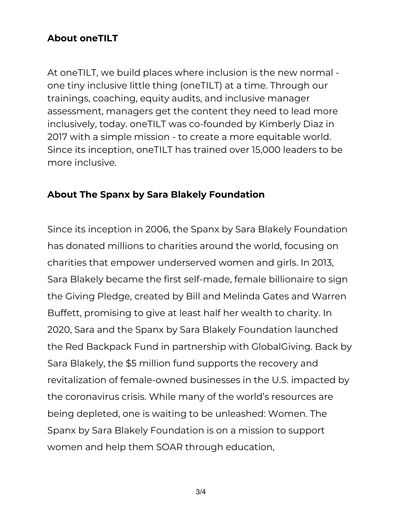## **About oneTILT**

At oneTILT, we build places where inclusion is the new normal one tiny inclusive little thing (oneTILT) at a time. Through our trainings, coaching, equity audits, and inclusive manager assessment, managers get the content they need to lead more inclusively, today. oneTILT was co-founded by Kimberly Diaz in 2017 with a simple mission - to create a more equitable world. Since its inception, oneTILT has trained over 15,000 leaders to be more inclusive.

### **About The Spanx by Sara Blakely Foundation**

Since its inception in 2006, the Spanx by Sara Blakely Foundation has donated millions to charities around the world, focusing on charities that empower underserved women and girls. In 2013, Sara Blakely became the first self-made, female billionaire to sign the Giving Pledge, created by Bill and Melinda Gates and Warren Buffett, promising to give at least half her wealth to charity. In 2020, Sara and the Spanx by Sara Blakely Foundation launched the Red Backpack Fund in partnership with GlobalGiving. Back by Sara Blakely, the \$5 million fund supports the recovery and revitalization of female-owned businesses in the U.S. impacted by the coronavirus crisis. While many of the world's resources are being depleted, one is waiting to be unleashed: Women. The Spanx by Sara Blakely Foundation is on a mission to support women and help them SOAR through education,